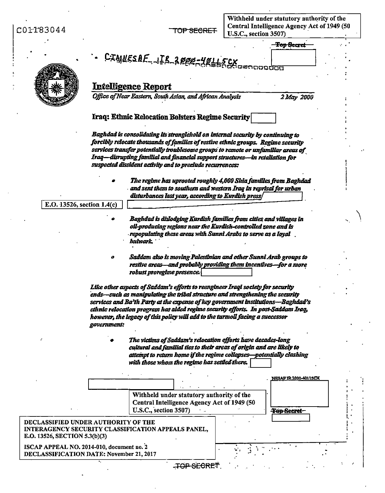$CO1T83044$ 

Withheld under statutory authority of the<br>Central Intelligence Agency Act of 1949 (50

| ATTOJN44                      | <b>IUP SECRET</b><br>U.S.C., section 3507)                                                                                                                             |  |
|-------------------------------|------------------------------------------------------------------------------------------------------------------------------------------------------------------------|--|
|                               | <b>Top Secret</b>                                                                                                                                                      |  |
|                               | CIANESAE JER 2000-40115CX                                                                                                                                              |  |
|                               |                                                                                                                                                                        |  |
|                               |                                                                                                                                                                        |  |
|                               | <b>Intelligence Report</b>                                                                                                                                             |  |
|                               | Office of Near Eastern, South Asian, and African Analysis<br>2 May 2000                                                                                                |  |
|                               | Iraq: Ethnic Relocation Bolsters Regime Security                                                                                                                       |  |
|                               | Baghdad is consolidating its stranglehold on internal security by continuing to                                                                                        |  |
|                               | forcibly relocate thousands of families of restive ethnic groups. Regime security<br>services transfer potentially troublesome groups to remote or unfamiliar areas of |  |
|                               | Iraq—disrupting familial and financial support structures—in retaliation for<br>suspected dissident activity and to preclude recurrences:                              |  |
|                               | The regime has uprooted roughly 4,000 Shia families from Baghdad                                                                                                       |  |
|                               | and sent them to southern and western Iraq in reprisal for urban<br>disturbances last year, according to Kurdish press/                                                |  |
| E.O. 13526, section 1.4(c)    |                                                                                                                                                                        |  |
|                               | Baghdad is dislodging Kurdish families from cities and villages in                                                                                                     |  |
|                               | oil-producing regions near the Kurdish-controlled zone and is                                                                                                          |  |
|                               | , repopulating these areas with Sunni Arabs to serve as a loyal .<br>buhvark.                                                                                          |  |
|                               |                                                                                                                                                                        |  |
|                               | Saddam also is moving Palestinian and other Sunni Arab groups to<br>0<br>restive areas—and probably providing them incentives—for a more                               |  |
|                               | robust proregime presence.                                                                                                                                             |  |
|                               | Like other aspects of Saddam's efforts to reengineer Iraqi society for security                                                                                        |  |
|                               | ends-such as manipulating the tribal structure and strengthening the security                                                                                          |  |
|                               | services and Ba'th Party at the expense of key government institutions-Baghdad's<br>ethnic relocation program has aided regime security efforts.  In post-Saddam Iraq, |  |
|                               | however, the legacy of this policy will add to the turmoil facing a successor                                                                                          |  |
|                               | government:                                                                                                                                                            |  |
|                               | The victims of Saddam's relocation efforts have decades-long                                                                                                           |  |
|                               | cultural and familial ties to their areas of origin and are likely to                                                                                                  |  |
|                               |                                                                                                                                                                        |  |
|                               | attempt to return home if the regime collapses—potentially clashing                                                                                                    |  |
|                               | with those whom the regime has settled there.                                                                                                                          |  |
|                               | <b>NESAFIR 2000-40115CX</b>                                                                                                                                            |  |
|                               |                                                                                                                                                                        |  |
|                               | Withheld under statutory authority of the<br>Central Intelligence Agency Act of 1949 (50                                                                               |  |
|                               | U.S.C., section 3507)<br>Top Secret-                                                                                                                                   |  |
|                               | DECLASSIFIED UNDER AUTHORITY OF THE<br>INTERAGENCY SECURITY CLASSIFICATION APPEALS PANEL,                                                                              |  |
|                               |                                                                                                                                                                        |  |
| E.O. 13526, SECTION 5.3(b)(3) | ISCAP APPEAL NO. 2014-010, document no. 2<br>DECLASSIFICATION DATE: November 21, 2017                                                                                  |  |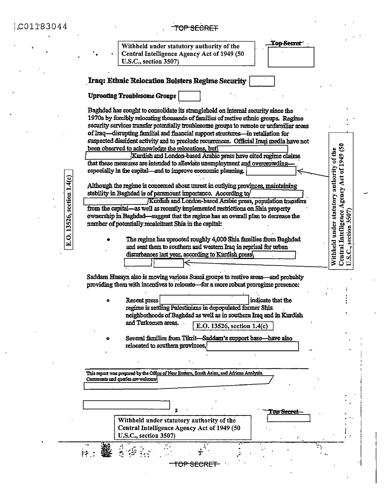C01183044

E.O. 13526, section 1.4(c)

## TOP SECRET

Withheld under statutory authority of the Central Intelligence Agency Act of 1949 (50 **U.S.C., section 3507)** 

**Top Secret** 

<del>an Seeret</del>

÷,

Central Intelligence Agency Act of 1949 (50<br>U.S.C., section 3507)

Withheld under statutory authority of the

### Iraq: Ethnic Relocation Bolsters Regime Security

**Uprooting Troublesome Groups** 

Baghdad has sought to consolidate its stranglehold on internal security since the 1970s by forcibly relocating thousands of families of restive ethnic groups. Regime security services transfer potentially troublesome groups to remote or unfamiliar areas of Iraq—disrupting familial and financial support structures—in retaliation for suspected dissident activity and to preclude recurrences. Official Iraqi media have not been observed to acknowledge the relocations, but

Kurdish and London-based Arabic press have cited regime claims that these measures are intended to alleviate unemployment and overcrowdingespecially in the capital—and to improve economic planning.

Although the regime is concerned about unrest in outlying provinces, maintaining stability in Baghdad is of paramount importance. According to

(Kurdish and London-based Arabic press, population transfers) from the capital-as well as recently implemented restrictions on Shia property ownership in Baghdad—suggest that the regime has an overall plan to decrease the number of potentially recalcitrant Shia in the capital:

The regime has uprooted roughly 4,000 Shia families from Baghdad and sent them to southern and western Iraq in reprisal for urban disturbances last year, according to Kurdish press\

Saddam Husayn also is moving various Sunni groups to restive areas—and probably providing them with incentives to relocate—for a more robust proregime presence:

- indicate that the Recent press regime is settling Palestinians in depopulated former Shia neighborhoods of Baghdad as well as in southern Iraq and in Kurdish and Turkomen areas. E.O. 13526, section 1.4(c)
- Several families from Tikrit-Saddam's support base-have also relocated to southern provinces,

This report was prepared by the Office of Near Eastern, South Asian, and African Analysis. Comments and queries are welcome

> Withheld under statutory authority of the Central Intelligence Agency Act of 1949 (50 U.S.C., section 3507)

동 성공

 $\mathcal{C}$ 

TOP SECRET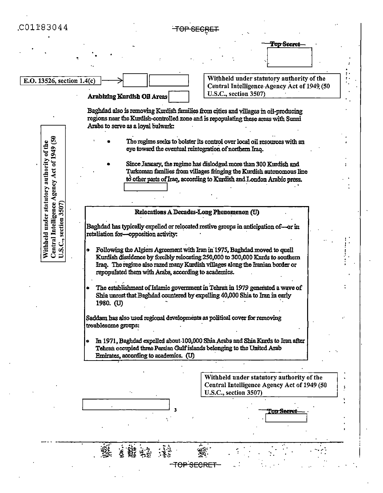## C01183044



<del>TOP SECR</del>

<del>-TOP SECRET</del>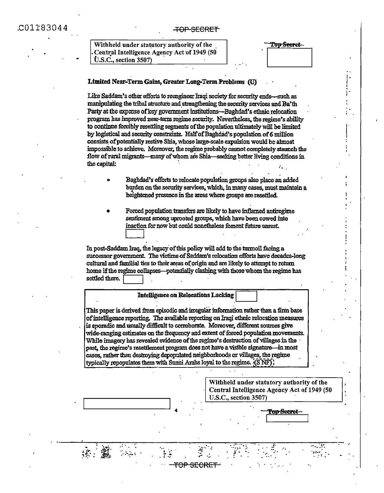#### **TOP-SECRET**

| Withheld under statutory authority of the   |  |
|---------------------------------------------|--|
| Central Intelligence Agency Act of 1949 (50 |  |
| $\dot{\mathbf{U}}$ .S.C., section 3507)     |  |

Fo<del>p Secret</del>

#### Limited Near-Term Gains, Greater Long-Term Problems (U)

Like Saddam's other efforts to reengineer Iraqi society for security ends-such as manipulating the tribal structure and strengthening the security services and Ba'th Party at the expense of key government institutions—Baghdad's ethnic relocation program has improved near-term regime security. Nevertheless, the regime's ability to continue forcibly resettling segments of the population ultimately will be limited by logistical and security constraints. Half of Baghdad's population of 6 million consists of potentially restive Shia, whose large-scale expulsion would be almost impossible to achieve. Moreover, the regime probably cannot completely stannch the flow of rural migrants—many of whom are Shia—seeking better living conditions in the capital:

- Baghdad's efforts to relocate population groups also place an added burden on the security services, which, in many cases, must maintain a heightened presence in the areas where groups are resettled.
- Forced population transfers are likely to have inflamed antiregime sentiment among uprooted groups, which have been cowed into inaction for now but could nonetheless foment future unrest.

In post-Saddam Iraq, the legacy of this policy will add to the turmoil facing a successor government. The victims of Saddam's relocation efforts have decades-long cultural and familial ties to their areas of origin and are likely to attempt to return home if the regime collapses—potentially clashing with those whom the regime has settled there.

#### **Intelligence on Relocations Lacking**

This paper is derived from episodic and irregular information rather than a firm base of intelligence reporting. The available reporting on Iraqi ethnic relocation measures is sporadic and usually difficult to corroborate. Moreover, different sources give wide-ranging estimates on the frequency and extent of forced population movements. While imagery has revealed evidence of the regime's destruction of villages in the past, the regime's resettlement program does not have a visible signature—in most cases, rather than destroving depopulated neighborhoods or villages, the regime typically repopulates them with Sumii Arabs loyal to the regime.  $(S\overline{NF})$ 



<del>TOP SECRET</del>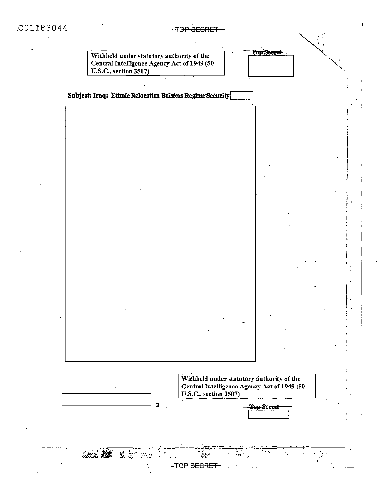# TOP SECRET-



Subject: Iraq: Ethnic Relocation Bolsters Regime Security



 $\overline{\mathbf{3}}$ 

安全 第二十二

Withheld under statutory authority of the Central Intelligence Agency Act of 1949 (50 U.S.C., section 3507)

**Top Secret** 

Top Secret

-TOP SECRET

 $\mathbf{x}^{\prime}_{i}$  ,

 $\frac{1}{2}$  .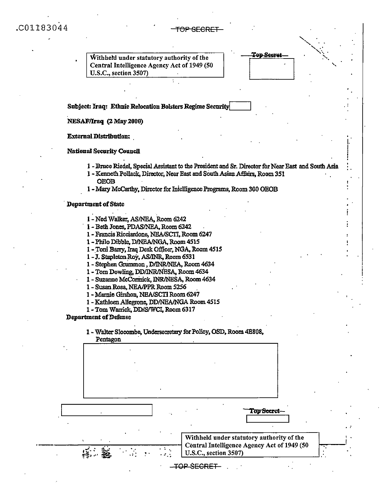C01183044

# TOP SECRET-

| Withheld under statutory authority of the                                                          | Top Secre |  |
|----------------------------------------------------------------------------------------------------|-----------|--|
| Central Intelligence Agency Act of 1949 (50                                                        |           |  |
| U.S.C., section 3507)                                                                              |           |  |
|                                                                                                    |           |  |
|                                                                                                    |           |  |
|                                                                                                    |           |  |
|                                                                                                    |           |  |
| Subject: Iraq: Ethnic Relocation Bolsters Regime Security                                          |           |  |
|                                                                                                    |           |  |
| NESAF/Iraq (2 May 2000)                                                                            |           |  |
|                                                                                                    |           |  |
| <b>External Distribution:</b>                                                                      |           |  |
|                                                                                                    |           |  |
|                                                                                                    |           |  |
| <b>National Security Council</b>                                                                   |           |  |
|                                                                                                    |           |  |
| 1 - Bruce Riedel, Special Assistant to the President and Sr. Director for Near East and South Asia |           |  |
| 1 - Kenneth Pollack, Director, Near East and South Asian Affairs, Room 351                         |           |  |
| <b>OEOB</b>                                                                                        |           |  |
| 1 - Mary McCarthy, Director for Intelligence Programs, Room 300 OEOB                               |           |  |
|                                                                                                    |           |  |
| <b>Department of State</b>                                                                         |           |  |
|                                                                                                    |           |  |
| 1 - Ned Walker, AS/NEA, Room 6242                                                                  |           |  |
|                                                                                                    |           |  |
| 1 - Beth Jones, PDAS/NEA, Room 6242                                                                |           |  |
| 1 - Francis Ricciardone, NEA/SCTI, Room 6247                                                       |           |  |
| 1 - Philo Dibble, DANEA/NGA, Room 4515                                                             |           |  |
| 1 - Toni Barry, Iraq Desk Officer, NGA, Room 4515                                                  |           |  |
| 1-J. Stapleton Roy, AS/INR, Room 6531                                                              |           |  |
| 1 - Stephen Grummon, D/INR/NEA, Room 4634                                                          |           |  |
| 1 - Tom Dowling, DD/INR/NESA, Room 4634                                                            |           |  |
| 1 - Suzanne McCormick, INR/NESA, Room 4634                                                         |           |  |
| 1 - Susan Rosa, NEA/PPR Room 5256                                                                  |           |  |
| 1 - Marnie Girshon, NEA/SCTI Room 6247                                                             |           |  |
|                                                                                                    |           |  |
| 1 - Kathleen Allegrone, DD/NEA/NGA Room 4515                                                       |           |  |
| 1 - Tom Warrick, DD/S/WCI, Room 6317                                                               |           |  |
| <b>Department of Defense</b>                                                                       |           |  |
|                                                                                                    |           |  |
| 1 - Walter Slocombe, Undersecretary for Policy, OSD, Room 4E808,                                   |           |  |
| Pentagon                                                                                           |           |  |
|                                                                                                    |           |  |
|                                                                                                    |           |  |
|                                                                                                    |           |  |
|                                                                                                    |           |  |
|                                                                                                    |           |  |

| Pentagon |  |                                                                      |                   |                                           |  |
|----------|--|----------------------------------------------------------------------|-------------------|-------------------------------------------|--|
|          |  |                                                                      |                   |                                           |  |
|          |  |                                                                      |                   |                                           |  |
|          |  |                                                                      |                   |                                           |  |
|          |  |                                                                      |                   |                                           |  |
|          |  |                                                                      |                   |                                           |  |
|          |  |                                                                      |                   |                                           |  |
|          |  |                                                                      |                   |                                           |  |
|          |  |                                                                      |                   | Top Secret                                |  |
|          |  |                                                                      |                   |                                           |  |
|          |  |                                                                      |                   |                                           |  |
|          |  |                                                                      |                   | Withheld under statutory authority of the |  |
|          |  | Central Intelligence Agency Act of 1949 (50<br>U.S.C., section 3507) |                   |                                           |  |
|          |  |                                                                      | <u>דםממש</u> ? סו |                                           |  |